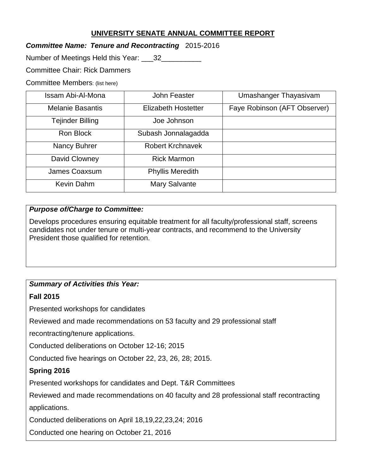# **UNIVERSITY SENATE ANNUAL COMMITTEE REPORT**

## *Committee Name: Tenure and Recontracting* 2015-2016

Number of Meetings Held this Year: 132

Committee Chair: Rick Dammers

Committee Members: (list here)

| Issam Abi-Al-Mona       | John Feaster               | Umashanger Thayasivam        |
|-------------------------|----------------------------|------------------------------|
| <b>Melanie Basantis</b> | <b>Elizabeth Hostetter</b> | Faye Robinson (AFT Observer) |
| Tejinder Billing        | Joe Johnson                |                              |
| Ron Block               | Subash Jonnalagadda        |                              |
| <b>Nancy Buhrer</b>     | <b>Robert Krchnavek</b>    |                              |
| David Clowney           | <b>Rick Marmon</b>         |                              |
| James Coaxsum           | <b>Phyllis Meredith</b>    |                              |
| Kevin Dahm              | <b>Mary Salvante</b>       |                              |

## *Purpose of/Charge to Committee:*

Develops procedures ensuring equitable treatment for all faculty/professional staff, screens candidates not under tenure or multi-year contracts, and recommend to the University President those qualified for retention.

## *Summary of Activities this Year:*

#### **Fall 2015**

Presented workshops for candidates

Reviewed and made recommendations on 53 faculty and 29 professional staff

recontracting/tenure applications.

Conducted deliberations on October 12-16; 2015

Conducted five hearings on October 22, 23, 26, 28; 2015.

## **Spring 2016**

Presented workshops for candidates and Dept. T&R Committees

Reviewed and made recommendations on 40 faculty and 28 professional staff recontracting

applications.

Conducted deliberations on April 18,19,22,23,24; 2016

Conducted one hearing on October 21, 2016